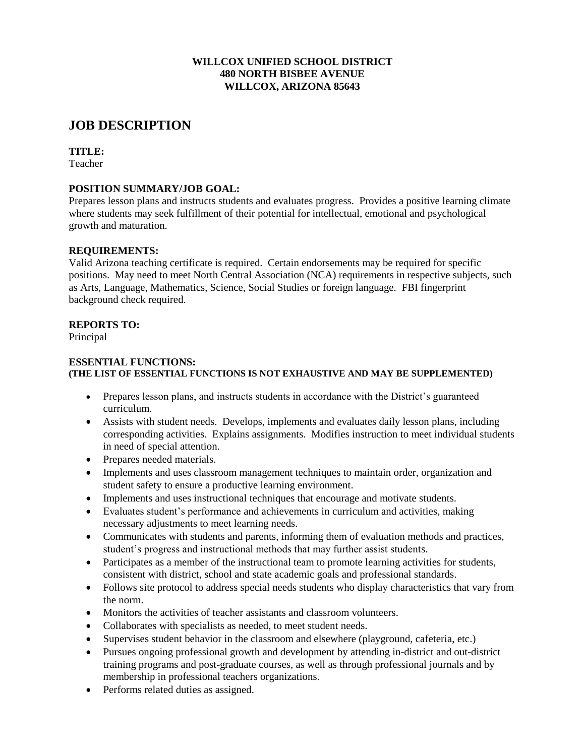## **WILLCOX UNIFIED SCHOOL DISTRICT 480 NORTH BISBEE AVENUE WILLCOX, ARIZONA 85643**

# **JOB DESCRIPTION**

## **TITLE:**

Teacher

# **POSITION SUMMARY/JOB GOAL:**

Prepares lesson plans and instructs students and evaluates progress. Provides a positive learning climate where students may seek fulfillment of their potential for intellectual, emotional and psychological growth and maturation.

# **REQUIREMENTS:**

Valid Arizona teaching certificate is required. Certain endorsements may be required for specific positions. May need to meet North Central Association (NCA) requirements in respective subjects, such as Arts, Language, Mathematics, Science, Social Studies or foreign language. FBI fingerprint background check required.

# **REPORTS TO:**

Principal

#### **ESSENTIAL FUNCTIONS: (THE LIST OF ESSENTIAL FUNCTIONS IS NOT EXHAUSTIVE AND MAY BE SUPPLEMENTED)**

- Prepares lesson plans, and instructs students in accordance with the District's guaranteed curriculum.
- Assists with student needs. Develops, implements and evaluates daily lesson plans, including corresponding activities. Explains assignments. Modifies instruction to meet individual students in need of special attention.
- Prepares needed materials.
- Implements and uses classroom management techniques to maintain order, organization and student safety to ensure a productive learning environment.
- Implements and uses instructional techniques that encourage and motivate students.
- Evaluates student's performance and achievements in curriculum and activities, making necessary adjustments to meet learning needs.
- Communicates with students and parents, informing them of evaluation methods and practices, student's progress and instructional methods that may further assist students.
- Participates as a member of the instructional team to promote learning activities for students, consistent with district, school and state academic goals and professional standards.
- Follows site protocol to address special needs students who display characteristics that vary from the norm.
- Monitors the activities of teacher assistants and classroom volunteers.
- Collaborates with specialists as needed, to meet student needs.
- Supervises student behavior in the classroom and elsewhere (playground, cafeteria, etc.)
- Pursues ongoing professional growth and development by attending in-district and out-district training programs and post-graduate courses, as well as through professional journals and by membership in professional teachers organizations.
- Performs related duties as assigned.